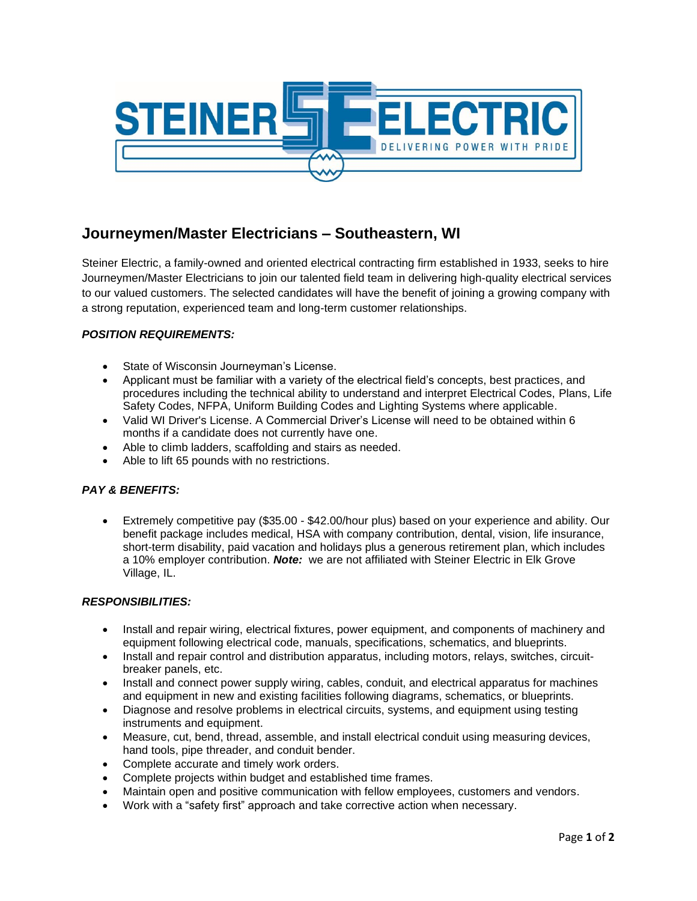

# **Journeymen/Master Electricians – Southeastern, WI**

Steiner Electric, a family-owned and oriented electrical contracting firm established in 1933, seeks to hire Journeymen/Master Electricians to join our talented field team in delivering high-quality electrical services to our valued customers. The selected candidates will have the benefit of joining a growing company with a strong reputation, experienced team and long-term customer relationships.

## *POSITION REQUIREMENTS:*

- State of Wisconsin Journeyman's License.
- Applicant must be familiar with a variety of the electrical field's concepts, best practices, and procedures including the technical ability to understand and interpret Electrical Codes, Plans, Life Safety Codes, NFPA, Uniform Building Codes and Lighting Systems where applicable.
- Valid WI Driver's License. A Commercial Driver's License will need to be obtained within 6 months if a candidate does not currently have one.
- Able to climb ladders, scaffolding and stairs as needed.
- Able to lift 65 pounds with no restrictions.

#### *PAY & BENEFITS:*

• Extremely competitive pay (\$35.00 - \$42.00/hour plus) based on your experience and ability. Our benefit package includes medical, HSA with company contribution, dental, vision, life insurance, short-term disability, paid vacation and holidays plus a generous retirement plan, which includes a 10% employer contribution. *Note:* we are not affiliated with Steiner Electric in Elk Grove Village, IL.

#### *RESPONSIBILITIES:*

- Install and repair wiring, electrical fixtures, power equipment, and components of machinery and equipment following electrical code, manuals, specifications, schematics, and blueprints.
- Install and repair control and distribution apparatus, including motors, relays, switches, circuitbreaker panels, etc.
- Install and connect power supply wiring, cables, conduit, and electrical apparatus for machines and equipment in new and existing facilities following diagrams, schematics, or blueprints.
- Diagnose and resolve problems in electrical circuits, systems, and equipment using testing instruments and equipment.
- Measure, cut, bend, thread, assemble, and install electrical conduit using measuring devices, hand tools, pipe threader, and conduit bender.
- Complete accurate and timely work orders.
- Complete projects within budget and established time frames.
- Maintain open and positive communication with fellow employees, customers and vendors.
- Work with a "safety first" approach and take corrective action when necessary.